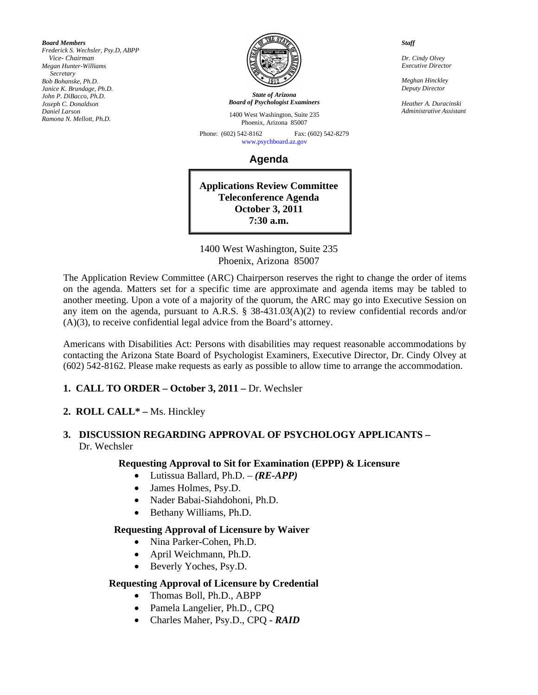*Board Members Frederick S. Wechsler, Psy.D, ABPP Vice- Chairman Megan Hunter-Williams Secretary Bob Bohanske, Ph.D. Janice K. Brundage, Ph.D. John P. DiBacco, Ph.D. Joseph C. Donaldson Daniel Larson Ramona N. Mellott, Ph.D.* 



*State of Arizona Board of Psychologist Examiners*

1400 West Washington, Suite 235 Phoenix, Arizona 85007

Phone: (602) 542-8162 Fax: (602) 542-8279 [www.psychboard.az.gov](http://www.psychboard.az.gov/) 

**Agenda** 

**Applications Review Committee Teleconference Agenda October 3, 2011 7:30 a.m.** 

1400 West Washington, Suite 235 Phoenix, Arizona 85007

The Application Review Committee (ARC) Chairperson reserves the right to change the order of items on the agenda. Matters set for a specific time are approximate and agenda items may be tabled to another meeting. Upon a vote of a majority of the quorum, the ARC may go into Executive Session on any item on the agenda, pursuant to A.R.S. § 38-431.03(A)(2) to review confidential records and/or (A)(3), to receive confidential legal advice from the Board's attorney.

Americans with Disabilities Act: Persons with disabilities may request reasonable accommodations by contacting the Arizona State Board of Psychologist Examiners, Executive Director, Dr. Cindy Olvey at (602) 542-8162. Please make requests as early as possible to allow time to arrange the accommodation.

- **1. CALL TO ORDER October 3, 2011** Dr. Wechsler
- **2. ROLL CALL\*** Ms. Hinckley
- **3. DISCUSSION REGARDING APPROVAL OF PSYCHOLOGY APPLICANTS**  Dr. Wechsler

### **Requesting Approval to Sit for Examination (EPPP) & Licensure**

- Lutissua Ballard, Ph.D. *(RE-APP)*
- James Holmes, Psy.D.
- Nader Babai-Siahdohoni, Ph.D.
- Bethany Williams, Ph.D.

### **Requesting Approval of Licensure by Waiver**

- Nina Parker-Cohen, Ph.D.
- April Weichmann, Ph.D.
- Beverly Yoches, Psy.D.

### **Requesting Approval of Licensure by Credential**

- Thomas Boll, Ph.D., ABPP
- Pamela Langelier, Ph.D., CPQ
- Charles Maher, Psy.D., CPQ *RAID*

*Staff* 

*Dr. Cindy Olvey Executive Director* 

*Meghan Hinckley Deputy Director* 

*Heather A. Duracinski Administrative Assistant*